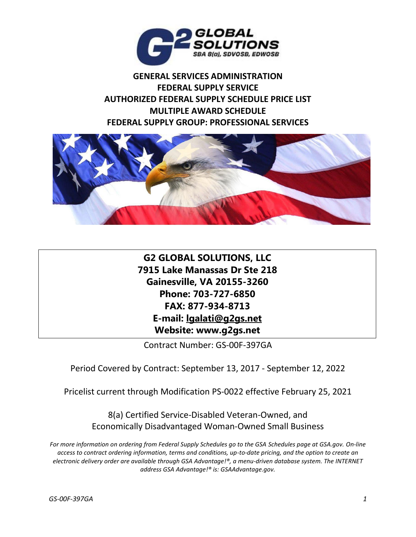

**GENERAL SERVICES ADMINISTRATION FEDERAL SUPPLY SERVICE AUTHORIZED FEDERAL SUPPLY SCHEDULE PRICE LIST MULTIPLE AWARD SCHEDULE FEDERAL SUPPLY GROUP: PROFESSIONAL SERVICES**



**G2 GLOBAL SOLUTIONS, LLC 7915 Lake Manassas Dr Ste 218 Gainesville, VA 20155-3260 Phone: 703-727-6850 FAX: 877-934-8713 E-mail: lgalati@g2gs.net Website: www.g2gs.net**

Contract Number: GS-00F-397GA

Period Covered by Contract: September 13, 2017 - September 12, 2022

Pricelist current through Modification PS-0022 effective February 25, 2021

8(a) Certified Service-Disabled Veteran-Owned, and Economically Disadvantaged Woman-Owned Small Business

*For more information on ordering from Federal Supply Schedules go to the GSA Schedules page at GSA.gov. On-line access to contract ordering information, terms and conditions, up-to-date pricing, and the option to create an electronic delivery order are available through GSA Advantage!®, a menu-driven database system. The INTERNET address GSA Advantage!® is: GSAAdvantage.gov.*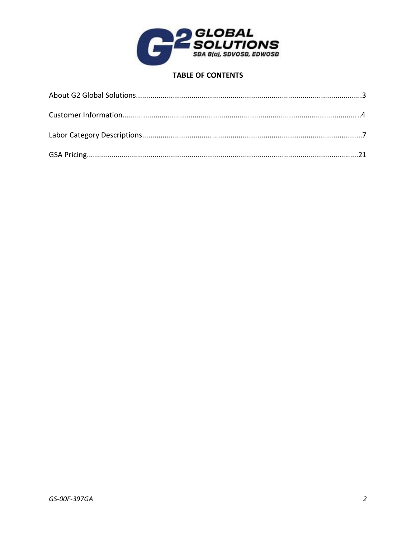

# **TABLE OF CONTENTS**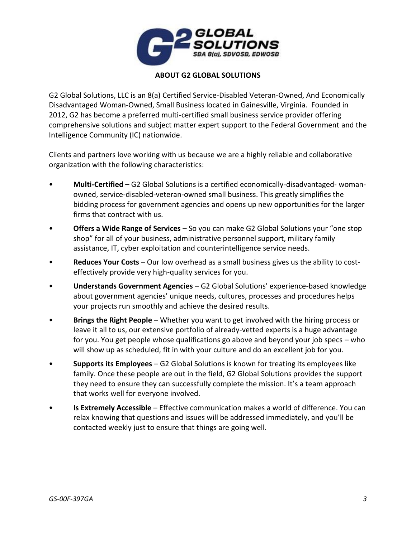

# **ABOUT G2 GLOBAL SOLUTIONS**

G2 Global Solutions, LLC is an 8(a) Certified Service-Disabled Veteran-Owned, And Economically Disadvantaged Woman-Owned, Small Business located in Gainesville, Virginia. Founded in 2012, G2 has become a preferred multi-certified small business service provider offering comprehensive solutions and subject matter expert support to the Federal Government and the Intelligence Community (IC) nationwide.

Clients and partners love working with us because we are a highly reliable and collaborative organization with the following characteristics:

- **Multi-Certified** G2 Global Solutions is a certified economically-disadvantaged- womanowned, service-disabled-veteran-owned small business. This greatly simplifies the bidding process for government agencies and opens up new opportunities for the larger firms that contract with us.
- **Offers a Wide Range of Services** So you can make G2 Global Solutions your "one stop shop" for all of your business, administrative personnel support, military family assistance, IT, cyber exploitation and counterintelligence service needs.
- **Reduces Your Costs** Our low overhead as a small business gives us the ability to costeffectively provide very high-quality services for you.
- **Understands Government Agencies** G2 Global Solutions' experience-based knowledge about government agencies' unique needs, cultures, processes and procedures helps your projects run smoothly and achieve the desired results.
- **Brings the Right People** Whether you want to get involved with the hiring process or leave it all to us, our extensive portfolio of already-vetted experts is a huge advantage for you. You get people whose qualifications go above and beyond your job specs – who will show up as scheduled, fit in with your culture and do an excellent job for you.
- **Supports its Employees** G2 Global Solutions is known for treating its employees like family. Once these people are out in the field, G2 Global Solutions provides the support they need to ensure they can successfully complete the mission. It's a team approach that works well for everyone involved.
- **Is Extremely Accessible** Effective communication makes a world of difference. You can relax knowing that questions and issues will be addressed immediately, and you'll be contacted weekly just to ensure that things are going well.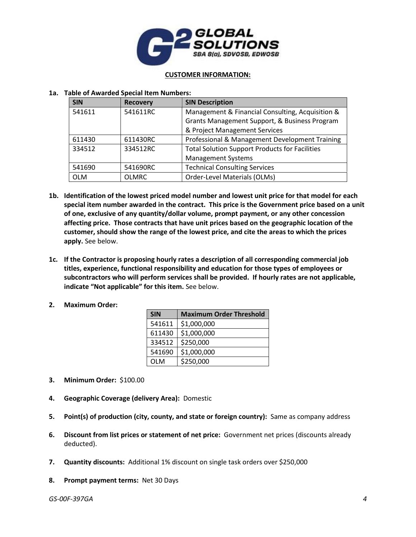

#### **CUSTOMER INFORMATION:**

## **1a. Table of Awarded Special Item Numbers:**

| <b>SIN</b> | <b>Recovery</b> | <b>SIN Description</b>                                |  |
|------------|-----------------|-------------------------------------------------------|--|
| 541611     | 541611RC        | Management & Financial Consulting, Acquisition &      |  |
|            |                 | Grants Management Support, & Business Program         |  |
|            |                 | & Project Management Services                         |  |
| 611430     | 611430RC        | Professional & Management Development Training        |  |
| 334512     | 334512RC        | <b>Total Solution Support Products for Facilities</b> |  |
|            |                 | <b>Management Systems</b>                             |  |
| 541690     | 541690RC        | <b>Technical Consulting Services</b>                  |  |
| <b>OLM</b> | <b>OLMRC</b>    | Order-Level Materials (OLMs)                          |  |

- **1b. Identification of the lowest priced model number and lowest unit price for that model for each special item number awarded in the contract. This price is the Government price based on a unit of one, exclusive of any quantity/dollar volume, prompt payment, or any other concession affecting price. Those contracts that have unit prices based on the geographic location of the customer, should show the range of the lowest price, and cite the areas to which the prices apply.** See below.
- **1c. If the Contractor is proposing hourly rates a description of all corresponding commercial job titles, experience, functional responsibility and education for those types of employees or subcontractors who will perform services shall be provided. If hourly rates are not applicable, indicate "Not applicable" for this item.** See below.
- **2. Maximum Order:**

| <b>SIN</b> | <b>Maximum Order Threshold</b> |
|------------|--------------------------------|
| 541611     | \$1,000,000                    |
| 611430     | \$1,000,000                    |
| 334512     | \$250,000                      |
| 541690     | \$1,000,000                    |
| OLM        | \$250,000                      |

- **3. Minimum Order:** \$100.00
- **4. Geographic Coverage (delivery Area):** Domestic
- **5. Point(s) of production (city, county, and state or foreign country):** Same as company address
- **6. Discount from list prices or statement of net price:** Government net prices (discounts already deducted).
- **7. Quantity discounts:** Additional 1% discount on single task orders over \$250,000
- **8. Prompt payment terms:** Net 30 Days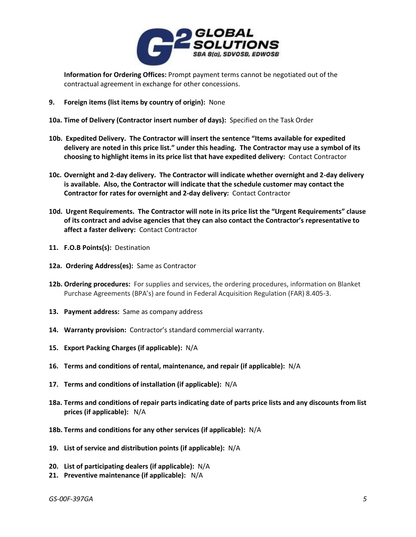

**Information for Ordering Offices:** Prompt payment terms cannot be negotiated out of the contractual agreement in exchange for other concessions.

- **9. Foreign items (list items by country of origin):** None
- **10a. Time of Delivery (Contractor insert number of days):** Specified on the Task Order
- **10b. Expedited Delivery. The Contractor will insert the sentence "Items available for expedited delivery are noted in this price list." under this heading. The Contractor may use a symbol of its choosing to highlight items in its price list that have expedited delivery:** Contact Contractor
- **10c. Overnight and 2-day delivery. The Contractor will indicate whether overnight and 2-day delivery is available. Also, the Contractor will indicate that the schedule customer may contact the Contractor for rates for overnight and 2-day delivery:** Contact Contractor
- **10d. Urgent Requirements. The Contractor will note in its price list the "Urgent Requirements" clause of its contract and advise agencies that they can also contact the Contractor's representative to affect a faster delivery:** Contact Contractor
- **11. F.O.B Points(s):** Destination
- **12a. Ordering Address(es):** Same as Contractor
- **12b. Ordering procedures:** For supplies and services, the ordering procedures, information on Blanket Purchase Agreements (BPA's) are found in Federal Acquisition Regulation (FAR) 8.405-3.
- **13. Payment address:** Same as company address
- **14. Warranty provision:** Contractor's standard commercial warranty.
- **15. Export Packing Charges (if applicable):** N/A
- **16. Terms and conditions of rental, maintenance, and repair (if applicable):** N/A
- **17. Terms and conditions of installation (if applicable):** N/A
- **18a. Terms and conditions of repair parts indicating date of parts price lists and any discounts from list prices (if applicable):** N/A
- **18b. Terms and conditions for any other services (if applicable):** N/A
- **19. List of service and distribution points (if applicable):** N/A
- **20. List of participating dealers (if applicable):** N/A
- **21. Preventive maintenance (if applicable):** N/A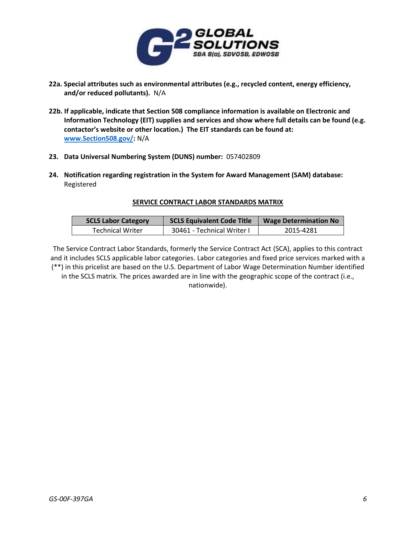

- **22a. Special attributes such as environmental attributes (e.g., recycled content, energy efficiency, and/or reduced pollutants).** N/A
- **22b. If applicable, indicate that Section 508 compliance information is available on Electronic and Information Technology (EIT) supplies and services and show where full details can be found (e.g. contactor's website or other location.) The EIT standards can be found at: [www.Section508.gov/:](http://www.section508.gov/)** N/A
- **23. Data Universal Numbering System (DUNS) number:** 057402809
- **24. Notification regarding registration in the System for Award Management (SAM) database:**  Registered

## **SERVICE CONTRACT LABOR STANDARDS MATRIX**

| <b>SCLS Labor Category</b> | <b>SCLS Equivalent Code Title</b> | <b>Wage Determination No</b> |
|----------------------------|-----------------------------------|------------------------------|
| <b>Technical Writer</b>    | 30461 - Technical Writer I        | 2015-4281                    |

The Service Contract Labor Standards, formerly the Service Contract Act (SCA), applies to this contract and it includes SCLS applicable labor categories. Labor categories and fixed price services marked with a (\*\*) in this pricelist are based on the U.S. Department of Labor Wage Determination Number identified in the SCLS matrix. The prices awarded are in line with the geographic scope of the contract (i.e., nationwide).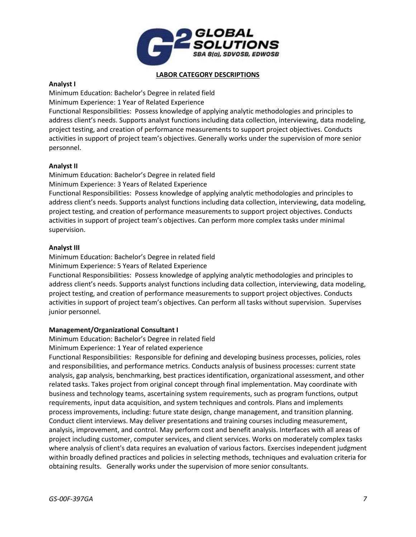

### **LABOR CATEGORY DESCRIPTIONS**

## **Analyst I**

Minimum Education: Bachelor's Degree in related field Minimum Experience: 1 Year of Related Experience Functional Responsibilities: Possess knowledge of applying analytic methodologies and principles to address client's needs. Supports analyst functions including data collection, interviewing, data modeling, project testing, and creation of performance measurements to support project objectives. Conducts activities in support of project team's objectives. Generally works under the supervision of more senior personnel.

# **Analyst II**

Minimum Education: Bachelor's Degree in related field Minimum Experience: 3 Years of Related Experience Functional Responsibilities: Possess knowledge of applying analytic methodologies and principles to address client's needs. Supports analyst functions including data collection, interviewing, data modeling, project testing, and creation of performance measurements to support project objectives. Conducts activities in support of project team's objectives. Can perform more complex tasks under minimal supervision.

## **Analyst III**

Minimum Education: Bachelor's Degree in related field

Minimum Experience: 5 Years of Related Experience

Functional Responsibilities: Possess knowledge of applying analytic methodologies and principles to address client's needs. Supports analyst functions including data collection, interviewing, data modeling, project testing, and creation of performance measurements to support project objectives. Conducts activities in support of project team's objectives. Can perform all tasks without supervision. Supervises junior personnel.

# **Management/Organizational Consultant I**

Minimum Education: Bachelor's Degree in related field

Minimum Experience: 1 Year of related experience

Functional Responsibilities: Responsible for defining and developing business processes, policies, roles and responsibilities, and performance metrics. Conducts analysis of business processes: current state analysis, gap analysis, benchmarking, best practices identification, organizational assessment, and other related tasks. Takes project from original concept through final implementation. May coordinate with business and technology teams, ascertaining system requirements, such as program functions, output requirements, input data acquisition, and system techniques and controls. Plans and implements process improvements, including: future state design, change management, and transition planning. Conduct client interviews. May deliver presentations and training courses including measurement, analysis, improvement, and control. May perform cost and benefit analysis. Interfaces with all areas of project including customer, computer services, and client services. Works on moderately complex tasks where analysis of client's data requires an evaluation of various factors. Exercises independent judgment within broadly defined practices and policies in selecting methods, techniques and evaluation criteria for obtaining results. Generally works under the supervision of more senior consultants.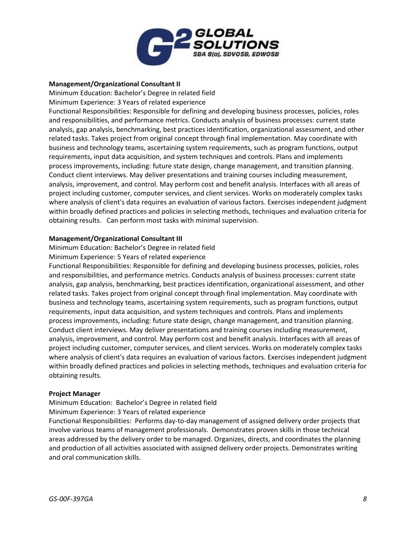

## **Management/Organizational Consultant II**

Minimum Education: Bachelor's Degree in related field

Minimum Experience: 3 Years of related experience

Functional Responsibilities: Responsible for defining and developing business processes, policies, roles and responsibilities, and performance metrics. Conducts analysis of business processes: current state analysis, gap analysis, benchmarking, best practices identification, organizational assessment, and other related tasks. Takes project from original concept through final implementation. May coordinate with business and technology teams, ascertaining system requirements, such as program functions, output requirements, input data acquisition, and system techniques and controls. Plans and implements process improvements, including: future state design, change management, and transition planning. Conduct client interviews. May deliver presentations and training courses including measurement, analysis, improvement, and control. May perform cost and benefit analysis. Interfaces with all areas of project including customer, computer services, and client services. Works on moderately complex tasks where analysis of client's data requires an evaluation of various factors. Exercises independent judgment within broadly defined practices and policies in selecting methods, techniques and evaluation criteria for obtaining results. Can perform most tasks with minimal supervision.

## **Management/Organizational Consultant III**

Minimum Education: Bachelor's Degree in related field

Minimum Experience: 5 Years of related experience

Functional Responsibilities: Responsible for defining and developing business processes, policies, roles and responsibilities, and performance metrics. Conducts analysis of business processes: current state analysis, gap analysis, benchmarking, best practices identification, organizational assessment, and other related tasks. Takes project from original concept through final implementation. May coordinate with business and technology teams, ascertaining system requirements, such as program functions, output requirements, input data acquisition, and system techniques and controls. Plans and implements process improvements, including: future state design, change management, and transition planning. Conduct client interviews. May deliver presentations and training courses including measurement, analysis, improvement, and control. May perform cost and benefit analysis. Interfaces with all areas of project including customer, computer services, and client services. Works on moderately complex tasks where analysis of client's data requires an evaluation of various factors. Exercises independent judgment within broadly defined practices and policies in selecting methods, techniques and evaluation criteria for obtaining results.

#### **Project Manager**

Minimum Education: Bachelor's Degree in related field

Minimum Experience: 3 Years of related experience

Functional Responsibilities: Performs day-to-day management of assigned delivery order projects that involve various teams of management professionals. Demonstrates proven skills in those technical areas addressed by the delivery order to be managed. Organizes, directs, and coordinates the planning and production of all activities associated with assigned delivery order projects. Demonstrates writing and oral communication skills.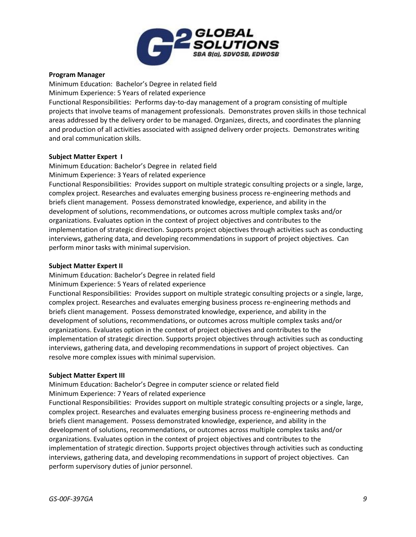

## **Program Manager**

Minimum Education: Bachelor's Degree in related field Minimum Experience: 5 Years of related experience Functional Responsibilities: Performs day-to-day management of a program consisting of multiple projects that involve teams of management professionals. Demonstrates proven skills in those technical areas addressed by the delivery order to be managed. Organizes, directs, and coordinates the planning and production of all activities associated with assigned delivery order projects. Demonstrates writing and oral communication skills.

## **Subject Matter Expert I**

Minimum Education: Bachelor's Degree in related field Minimum Experience: 3 Years of related experience

Functional Responsibilities: Provides support on multiple strategic consulting projects or a single, large, complex project. Researches and evaluates emerging business process re-engineering methods and briefs client management. Possess demonstrated knowledge, experience, and ability in the development of solutions, recommendations, or outcomes across multiple complex tasks and/or organizations. Evaluates option in the context of project objectives and contributes to the implementation of strategic direction. Supports project objectives through activities such as conducting interviews, gathering data, and developing recommendations in support of project objectives. Can perform minor tasks with minimal supervision.

## **Subject Matter Expert II**

Minimum Education: Bachelor's Degree in related field

Minimum Experience: 5 Years of related experience

Functional Responsibilities: Provides support on multiple strategic consulting projects or a single, large, complex project. Researches and evaluates emerging business process re-engineering methods and briefs client management. Possess demonstrated knowledge, experience, and ability in the development of solutions, recommendations, or outcomes across multiple complex tasks and/or organizations. Evaluates option in the context of project objectives and contributes to the implementation of strategic direction. Supports project objectives through activities such as conducting interviews, gathering data, and developing recommendations in support of project objectives. Can resolve more complex issues with minimal supervision.

#### **Subject Matter Expert III**

Minimum Education: Bachelor's Degree in computer science or related field

Minimum Experience: 7 Years of related experience

Functional Responsibilities: Provides support on multiple strategic consulting projects or a single, large, complex project. Researches and evaluates emerging business process re-engineering methods and briefs client management. Possess demonstrated knowledge, experience, and ability in the development of solutions, recommendations, or outcomes across multiple complex tasks and/or organizations. Evaluates option in the context of project objectives and contributes to the implementation of strategic direction. Supports project objectives through activities such as conducting interviews, gathering data, and developing recommendations in support of project objectives. Can perform supervisory duties of junior personnel.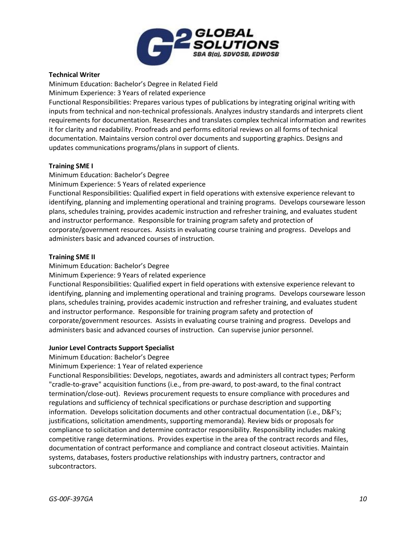

# **Technical Writer**

Minimum Education: Bachelor's Degree in Related Field

Minimum Experience: 3 Years of related experience

Functional Responsibilities: Prepares various types of publications by integrating original writing with inputs from technical and non-technical professionals. Analyzes industry standards and interprets client requirements for documentation. Researches and translates complex technical information and rewrites it for clarity and readability. Proofreads and performs editorial reviews on all forms of technical documentation. Maintains version control over documents and supporting graphics. Designs and updates communications programs/plans in support of clients.

# **Training SME I**

Minimum Education: Bachelor's Degree

Minimum Experience: 5 Years of related experience

Functional Responsibilities: Qualified expert in field operations with extensive experience relevant to identifying, planning and implementing operational and training programs. Develops courseware lesson plans, schedules training, provides academic instruction and refresher training, and evaluates student and instructor performance. Responsible for training program safety and protection of corporate/government resources. Assists in evaluating course training and progress. Develops and administers basic and advanced courses of instruction.

# **Training SME II**

Minimum Education: Bachelor's Degree

Minimum Experience: 9 Years of related experience

Functional Responsibilities: Qualified expert in field operations with extensive experience relevant to identifying, planning and implementing operational and training programs. Develops courseware lesson plans, schedules training, provides academic instruction and refresher training, and evaluates student and instructor performance. Responsible for training program safety and protection of corporate/government resources. Assists in evaluating course training and progress. Develops and administers basic and advanced courses of instruction. Can supervise junior personnel.

# **Junior Level Contracts Support Specialist**

Minimum Education: Bachelor's Degree

Minimum Experience: 1 Year of related experience

Functional Responsibilities: Develops, negotiates, awards and administers all contract types; Perform "cradle-to-grave" acquisition functions (i.e., from pre-award, to post-award, to the final contract termination/close-out). Reviews procurement requests to ensure compliance with procedures and regulations and sufficiency of technical specifications or purchase description and supporting information. Develops solicitation documents and other contractual documentation (i.e., D&F's; justifications, solicitation amendments, supporting memoranda). Review bids or proposals for compliance to solicitation and determine contractor responsibility. Responsibility includes making competitive range determinations. Provides expertise in the area of the contract records and files, documentation of contract performance and compliance and contract closeout activities. Maintain systems, databases, fosters productive relationships with industry partners, contractor and subcontractors.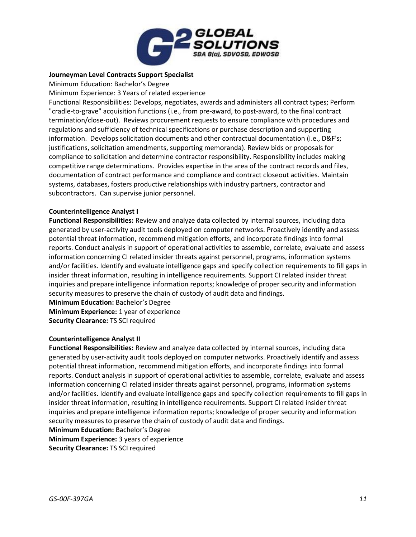

## **Journeyman Level Contracts Support Specialist**

Minimum Education: Bachelor's Degree

Minimum Experience: 3 Years of related experience

Functional Responsibilities: Develops, negotiates, awards and administers all contract types; Perform "cradle-to-grave" acquisition functions (i.e., from pre-award, to post-award, to the final contract termination/close-out). Reviews procurement requests to ensure compliance with procedures and regulations and sufficiency of technical specifications or purchase description and supporting information. Develops solicitation documents and other contractual documentation (i.e., D&F's; justifications, solicitation amendments, supporting memoranda). Review bids or proposals for compliance to solicitation and determine contractor responsibility. Responsibility includes making competitive range determinations. Provides expertise in the area of the contract records and files, documentation of contract performance and compliance and contract closeout activities. Maintain systems, databases, fosters productive relationships with industry partners, contractor and subcontractors. Can supervise junior personnel.

## **Counterintelligence Analyst I**

**Functional Responsibilities:** Review and analyze data collected by internal sources, including data generated by user-activity audit tools deployed on computer networks. Proactively identify and assess potential threat information, recommend mitigation efforts, and incorporate findings into formal reports. Conduct analysis in support of operational activities to assemble, correlate, evaluate and assess information concerning CI related insider threats against personnel, programs, information systems and/or facilities. Identify and evaluate intelligence gaps and specify collection requirements to fill gaps in insider threat information, resulting in intelligence requirements. Support CI related insider threat inquiries and prepare intelligence information reports; knowledge of proper security and information security measures to preserve the chain of custody of audit data and findings.

**Minimum Education:** Bachelor's Degree **Minimum Experience:** 1 year of experience **Security Clearance:** TS SCI required

#### **Counterintelligence Analyst II**

**Functional Responsibilities:** Review and analyze data collected by internal sources, including data generated by user-activity audit tools deployed on computer networks. Proactively identify and assess potential threat information, recommend mitigation efforts, and incorporate findings into formal reports. Conduct analysis in support of operational activities to assemble, correlate, evaluate and assess information concerning CI related insider threats against personnel, programs, information systems and/or facilities. Identify and evaluate intelligence gaps and specify collection requirements to fill gaps in insider threat information, resulting in intelligence requirements. Support CI related insider threat inquiries and prepare intelligence information reports; knowledge of proper security and information security measures to preserve the chain of custody of audit data and findings. **Minimum Education:** Bachelor's Degree **Minimum Experience:** 3 years of experience

**Security Clearance:** TS SCI required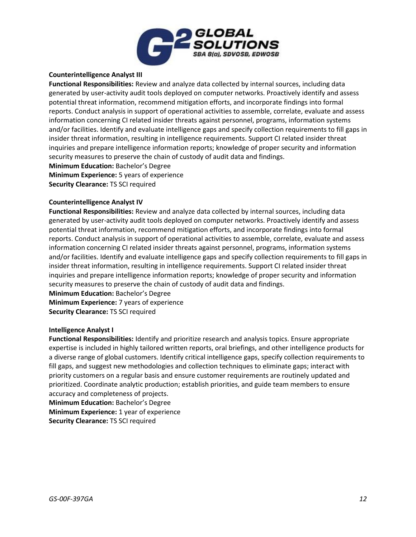

## **Counterintelligence Analyst III**

**Functional Responsibilities:** Review and analyze data collected by internal sources, including data generated by user-activity audit tools deployed on computer networks. Proactively identify and assess potential threat information, recommend mitigation efforts, and incorporate findings into formal reports. Conduct analysis in support of operational activities to assemble, correlate, evaluate and assess information concerning CI related insider threats against personnel, programs, information systems and/or facilities. Identify and evaluate intelligence gaps and specify collection requirements to fill gaps in insider threat information, resulting in intelligence requirements. Support CI related insider threat inquiries and prepare intelligence information reports; knowledge of proper security and information security measures to preserve the chain of custody of audit data and findings.

**Minimum Education:** Bachelor's Degree **Minimum Experience:** 5 years of experience **Security Clearance:** TS SCI required

#### **Counterintelligence Analyst IV**

**Functional Responsibilities:** Review and analyze data collected by internal sources, including data generated by user-activity audit tools deployed on computer networks. Proactively identify and assess potential threat information, recommend mitigation efforts, and incorporate findings into formal reports. Conduct analysis in support of operational activities to assemble, correlate, evaluate and assess information concerning CI related insider threats against personnel, programs, information systems and/or facilities. Identify and evaluate intelligence gaps and specify collection requirements to fill gaps in insider threat information, resulting in intelligence requirements. Support CI related insider threat inquiries and prepare intelligence information reports; knowledge of proper security and information security measures to preserve the chain of custody of audit data and findings.

**Minimum Education:** Bachelor's Degree **Minimum Experience:** 7 years of experience **Security Clearance:** TS SCI required

#### **Intelligence Analyst I**

**Functional Responsibilities:** Identify and prioritize research and analysis topics. Ensure appropriate expertise is included in highly tailored written reports, oral briefings, and other intelligence products for a diverse range of global customers. Identify critical intelligence gaps, specify collection requirements to fill gaps, and suggest new methodologies and collection techniques to eliminate gaps; interact with priority customers on a regular basis and ensure customer requirements are routinely updated and prioritized. Coordinate analytic production; establish priorities, and guide team members to ensure accuracy and completeness of projects.

**Minimum Education:** Bachelor's Degree

**Minimum Experience:** 1 year of experience

**Security Clearance:** TS SCI required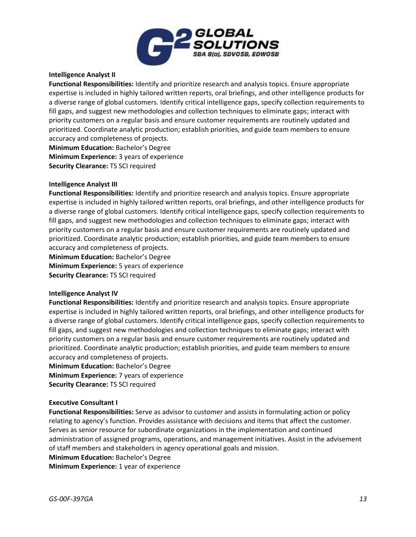

# **Intelligence Analyst II**

**Functional Responsibilities:** Identify and prioritize research and analysis topics. Ensure appropriate expertise is included in highly tailored written reports, oral briefings, and other intelligence products for a diverse range of global customers. Identify critical intelligence gaps, specify collection requirements to fill gaps, and suggest new methodologies and collection techniques to eliminate gaps; interact with priority customers on a regular basis and ensure customer requirements are routinely updated and prioritized. Coordinate analytic production; establish priorities, and guide team members to ensure accuracy and completeness of projects.

**Minimum Education:** Bachelor's Degree **Minimum Experience:** 3 years of experience **Security Clearance:** TS SCI required

#### **Intelligence Analyst III**

**Functional Responsibilities:** Identify and prioritize research and analysis topics. Ensure appropriate expertise is included in highly tailored written reports, oral briefings, and other intelligence products for a diverse range of global customers. Identify critical intelligence gaps, specify collection requirements to fill gaps, and suggest new methodologies and collection techniques to eliminate gaps; interact with priority customers on a regular basis and ensure customer requirements are routinely updated and prioritized. Coordinate analytic production; establish priorities, and guide team members to ensure accuracy and completeness of projects.

**Minimum Education:** Bachelor's Degree **Minimum Experience:** 5 years of experience **Security Clearance:** TS SCI required

#### **Intelligence Analyst IV**

**Functional Responsibilities:** Identify and prioritize research and analysis topics. Ensure appropriate expertise is included in highly tailored written reports, oral briefings, and other intelligence products for a diverse range of global customers. Identify critical intelligence gaps, specify collection requirements to fill gaps, and suggest new methodologies and collection techniques to eliminate gaps; interact with priority customers on a regular basis and ensure customer requirements are routinely updated and prioritized. Coordinate analytic production; establish priorities, and guide team members to ensure accuracy and completeness of projects.

**Minimum Education:** Bachelor's Degree **Minimum Experience:** 7 years of experience **Security Clearance:** TS SCI required

#### **Executive Consultant I**

**Functional Responsibilities:** Serve as advisor to customer and assists in formulating action or policy relating to agency's function. Provides assistance with decisions and items that affect the customer. Serves as senior resource for subordinate organizations in the implementation and continued administration of assigned programs, operations, and management initiatives. Assist in the advisement of staff members and stakeholders in agency operational goals and mission.

**Minimum Education:** Bachelor's Degree

**Minimum Experience:** 1 year of experience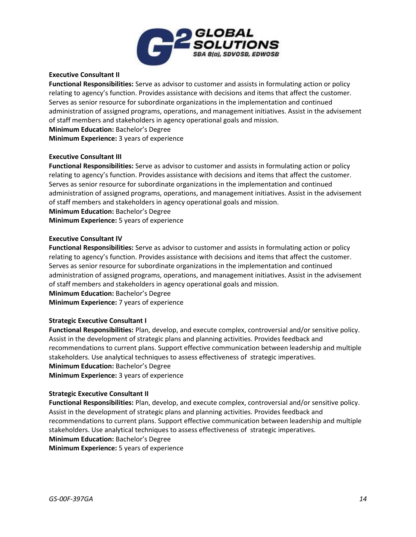

## **Executive Consultant II**

**Functional Responsibilities:** Serve as advisor to customer and assists in formulating action or policy relating to agency's function. Provides assistance with decisions and items that affect the customer. Serves as senior resource for subordinate organizations in the implementation and continued administration of assigned programs, operations, and management initiatives. Assist in the advisement of staff members and stakeholders in agency operational goals and mission. **Minimum Education:** Bachelor's Degree

**Minimum Experience:** 3 years of experience

## **Executive Consultant III**

**Functional Responsibilities:** Serve as advisor to customer and assists in formulating action or policy relating to agency's function. Provides assistance with decisions and items that affect the customer. Serves as senior resource for subordinate organizations in the implementation and continued administration of assigned programs, operations, and management initiatives. Assist in the advisement of staff members and stakeholders in agency operational goals and mission.

**Minimum Education:** Bachelor's Degree

**Minimum Experience:** 5 years of experience

# **Executive Consultant IV**

**Functional Responsibilities:** Serve as advisor to customer and assists in formulating action or policy relating to agency's function. Provides assistance with decisions and items that affect the customer. Serves as senior resource for subordinate organizations in the implementation and continued administration of assigned programs, operations, and management initiatives. Assist in the advisement of staff members and stakeholders in agency operational goals and mission. **Minimum Education:** Bachelor's Degree **Minimum Experience:** 7 years of experience

#### **Strategic Executive Consultant I**

**Functional Responsibilities:** Plan, develop, and execute complex, controversial and/or sensitive policy. Assist in the development of strategic plans and planning activities. Provides feedback and recommendations to current plans. Support effective communication between leadership and multiple stakeholders. Use analytical techniques to assess effectiveness of strategic imperatives. **Minimum Education:** Bachelor's Degree **Minimum Experience:** 3 years of experience

#### **Strategic Executive Consultant II**

**Functional Responsibilities:** Plan, develop, and execute complex, controversial and/or sensitive policy. Assist in the development of strategic plans and planning activities. Provides feedback and recommendations to current plans. Support effective communication between leadership and multiple stakeholders. Use analytical techniques to assess effectiveness of strategic imperatives. **Minimum Education:** Bachelor's Degree **Minimum Experience:** 5 years of experience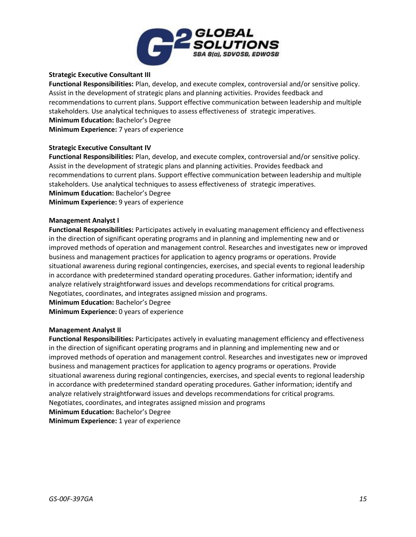

# **Strategic Executive Consultant III**

**Functional Responsibilities:** Plan, develop, and execute complex, controversial and/or sensitive policy. Assist in the development of strategic plans and planning activities. Provides feedback and recommendations to current plans. Support effective communication between leadership and multiple stakeholders. Use analytical techniques to assess effectiveness of strategic imperatives. **Minimum Education:** Bachelor's Degree **Minimum Experience:** 7 years of experience

## **Strategic Executive Consultant IV**

**Functional Responsibilities:** Plan, develop, and execute complex, controversial and/or sensitive policy. Assist in the development of strategic plans and planning activities. Provides feedback and recommendations to current plans. Support effective communication between leadership and multiple stakeholders. Use analytical techniques to assess effectiveness of strategic imperatives. **Minimum Education:** Bachelor's Degree **Minimum Experience:** 9 years of experience

#### **Management Analyst I**

**Functional Responsibilities:** Participates actively in evaluating management efficiency and effectiveness in the direction of significant operating programs and in planning and implementing new and or improved methods of operation and management control. Researches and investigates new or improved business and management practices for application to agency programs or operations. Provide situational awareness during regional contingencies, exercises, and special events to regional leadership in accordance with predetermined standard operating procedures. Gather information; identify and analyze relatively straightforward issues and develops recommendations for critical programs. Negotiates, coordinates, and integrates assigned mission and programs. **Minimum Education:** Bachelor's Degree

**Minimum Experience:** 0 years of experience

#### **Management Analyst II**

**Functional Responsibilities:** Participates actively in evaluating management efficiency and effectiveness in the direction of significant operating programs and in planning and implementing new and or improved methods of operation and management control. Researches and investigates new or improved business and management practices for application to agency programs or operations. Provide situational awareness during regional contingencies, exercises, and special events to regional leadership in accordance with predetermined standard operating procedures. Gather information; identify and analyze relatively straightforward issues and develops recommendations for critical programs. Negotiates, coordinates, and integrates assigned mission and programs

**Minimum Education:** Bachelor's Degree

**Minimum Experience:** 1 year of experience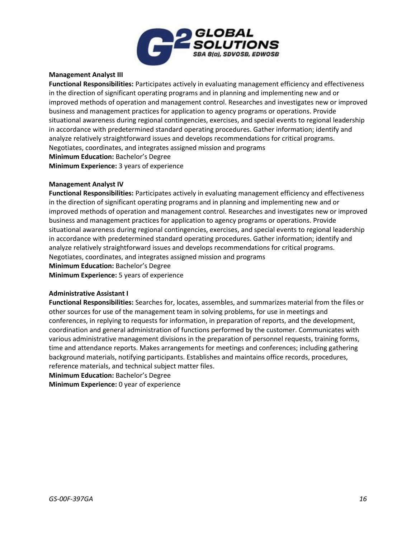

## **Management Analyst III**

**Functional Responsibilities:** Participates actively in evaluating management efficiency and effectiveness in the direction of significant operating programs and in planning and implementing new and or improved methods of operation and management control. Researches and investigates new or improved business and management practices for application to agency programs or operations. Provide situational awareness during regional contingencies, exercises, and special events to regional leadership in accordance with predetermined standard operating procedures. Gather information; identify and analyze relatively straightforward issues and develops recommendations for critical programs. Negotiates, coordinates, and integrates assigned mission and programs **Minimum Education:** Bachelor's Degree **Minimum Experience:** 3 years of experience

#### **Management Analyst IV**

**Functional Responsibilities:** Participates actively in evaluating management efficiency and effectiveness in the direction of significant operating programs and in planning and implementing new and or improved methods of operation and management control. Researches and investigates new or improved business and management practices for application to agency programs or operations. Provide situational awareness during regional contingencies, exercises, and special events to regional leadership in accordance with predetermined standard operating procedures. Gather information; identify and analyze relatively straightforward issues and develops recommendations for critical programs. Negotiates, coordinates, and integrates assigned mission and programs **Minimum Education:** Bachelor's Degree **Minimum Experience:** 5 years of experience

### **Administrative Assistant I**

**Functional Responsibilities:** Searches for, locates, assembles, and summarizes material from the files or other sources for use of the management team in solving problems, for use in meetings and conferences, in replying to requests for information, in preparation of reports, and the development, coordination and general administration of functions performed by the customer. Communicates with various administrative management divisions in the preparation of personnel requests, training forms, time and attendance reports. Makes arrangements for meetings and conferences; including gathering background materials, notifying participants. Establishes and maintains office records, procedures, reference materials, and technical subject matter files.

**Minimum Education:** Bachelor's Degree

**Minimum Experience:** 0 year of experience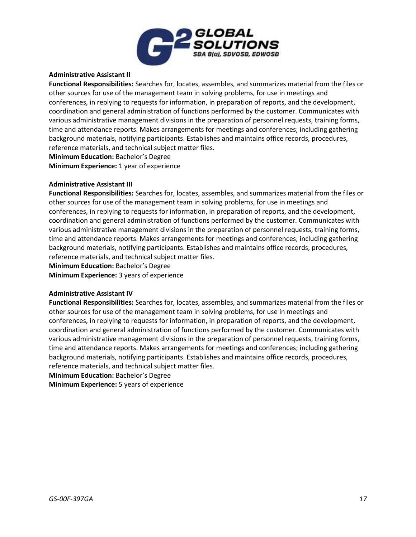

## **Administrative Assistant II**

**Functional Responsibilities:** Searches for, locates, assembles, and summarizes material from the files or other sources for use of the management team in solving problems, for use in meetings and conferences, in replying to requests for information, in preparation of reports, and the development, coordination and general administration of functions performed by the customer. Communicates with various administrative management divisions in the preparation of personnel requests, training forms, time and attendance reports. Makes arrangements for meetings and conferences; including gathering background materials, notifying participants. Establishes and maintains office records, procedures, reference materials, and technical subject matter files.

**Minimum Education:** Bachelor's Degree **Minimum Experience:** 1 year of experience

#### **Administrative Assistant III**

**Functional Responsibilities:** Searches for, locates, assembles, and summarizes material from the files or other sources for use of the management team in solving problems, for use in meetings and conferences, in replying to requests for information, in preparation of reports, and the development, coordination and general administration of functions performed by the customer. Communicates with various administrative management divisions in the preparation of personnel requests, training forms, time and attendance reports. Makes arrangements for meetings and conferences; including gathering background materials, notifying participants. Establishes and maintains office records, procedures, reference materials, and technical subject matter files.

**Minimum Education:** Bachelor's Degree

**Minimum Experience:** 3 years of experience

#### **Administrative Assistant IV**

**Functional Responsibilities:** Searches for, locates, assembles, and summarizes material from the files or other sources for use of the management team in solving problems, for use in meetings and conferences, in replying to requests for information, in preparation of reports, and the development, coordination and general administration of functions performed by the customer. Communicates with various administrative management divisions in the preparation of personnel requests, training forms, time and attendance reports. Makes arrangements for meetings and conferences; including gathering background materials, notifying participants. Establishes and maintains office records, procedures, reference materials, and technical subject matter files.

**Minimum Education:** Bachelor's Degree

**Minimum Experience:** 5 years of experience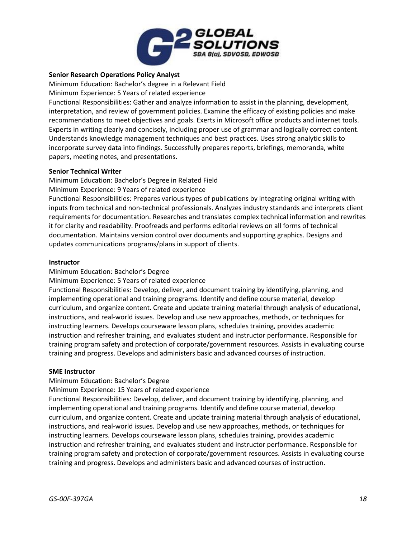

# **Senior Research Operations Policy Analyst**

Minimum Education: Bachelor's degree in a Relevant Field

Minimum Experience: 5 Years of related experience

Functional Responsibilities: Gather and analyze information to assist in the planning, development, interpretation, and review of government policies. Examine the efficacy of existing policies and make recommendations to meet objectives and goals. Exerts in Microsoft office products and internet tools. Experts in writing clearly and concisely, including proper use of grammar and logically correct content. Understands knowledge management techniques and best practices. Uses strong analytic skills to incorporate survey data into findings. Successfully prepares reports, briefings, memoranda, white papers, meeting notes, and presentations.

## **Senior Technical Writer**

Minimum Education: Bachelor's Degree in Related Field

Minimum Experience: 9 Years of related experience

Functional Responsibilities: Prepares various types of publications by integrating original writing with inputs from technical and non-technical professionals. Analyzes industry standards and interprets client requirements for documentation. Researches and translates complex technical information and rewrites it for clarity and readability. Proofreads and performs editorial reviews on all forms of technical documentation. Maintains version control over documents and supporting graphics. Designs and updates communications programs/plans in support of clients.

## **Instructor**

Minimum Education: Bachelor's Degree

Minimum Experience: 5 Years of related experience

Functional Responsibilities: Develop, deliver, and document training by identifying, planning, and implementing operational and training programs. Identify and define course material, develop curriculum, and organize content. Create and update training material through analysis of educational, instructions, and real-world issues. Develop and use new approaches, methods, or techniques for instructing learners. Develops courseware lesson plans, schedules training, provides academic instruction and refresher training, and evaluates student and instructor performance. Responsible for training program safety and protection of corporate/government resources. Assists in evaluating course training and progress. Develops and administers basic and advanced courses of instruction.

#### **SME Instructor**

# Minimum Education: Bachelor's Degree

Minimum Experience: 15 Years of related experience

Functional Responsibilities: Develop, deliver, and document training by identifying, planning, and implementing operational and training programs. Identify and define course material, develop curriculum, and organize content. Create and update training material through analysis of educational, instructions, and real-world issues. Develop and use new approaches, methods, or techniques for instructing learners. Develops courseware lesson plans, schedules training, provides academic instruction and refresher training, and evaluates student and instructor performance. Responsible for training program safety and protection of corporate/government resources. Assists in evaluating course training and progress. Develops and administers basic and advanced courses of instruction.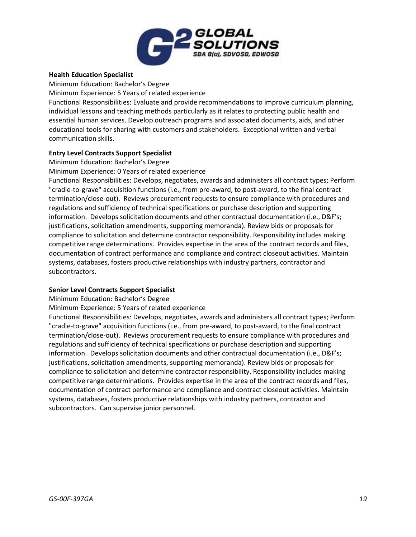

## **Health Education Specialist**

Minimum Education: Bachelor's Degree Minimum Experience: 5 Years of related experience Functional Responsibilities: Evaluate and provide recommendations to improve curriculum planning, individual lessons and teaching methods particularly as it relates to protecting public health and essential human services. Develop outreach programs and associated documents, aids, and other educational tools for sharing with customers and stakeholders. Exceptional written and verbal communication skills.

# **Entry Level Contracts Support Specialist**

Minimum Education: Bachelor's Degree

Minimum Experience: 0 Years of related experience

Functional Responsibilities: Develops, negotiates, awards and administers all contract types; Perform "cradle-to-grave" acquisition functions (i.e., from pre-award, to post-award, to the final contract termination/close-out). Reviews procurement requests to ensure compliance with procedures and regulations and sufficiency of technical specifications or purchase description and supporting information. Develops solicitation documents and other contractual documentation (i.e., D&F's; justifications, solicitation amendments, supporting memoranda). Review bids or proposals for compliance to solicitation and determine contractor responsibility. Responsibility includes making competitive range determinations. Provides expertise in the area of the contract records and files, documentation of contract performance and compliance and contract closeout activities. Maintain systems, databases, fosters productive relationships with industry partners, contractor and subcontractors.

#### **Senior Level Contracts Support Specialist**

Minimum Education: Bachelor's Degree

Minimum Experience: 5 Years of related experience

Functional Responsibilities: Develops, negotiates, awards and administers all contract types; Perform "cradle-to-grave" acquisition functions (i.e., from pre-award, to post-award, to the final contract termination/close-out). Reviews procurement requests to ensure compliance with procedures and regulations and sufficiency of technical specifications or purchase description and supporting information. Develops solicitation documents and other contractual documentation (i.e., D&F's; justifications, solicitation amendments, supporting memoranda). Review bids or proposals for compliance to solicitation and determine contractor responsibility. Responsibility includes making competitive range determinations. Provides expertise in the area of the contract records and files, documentation of contract performance and compliance and contract closeout activities. Maintain systems, databases, fosters productive relationships with industry partners, contractor and subcontractors. Can supervise junior personnel.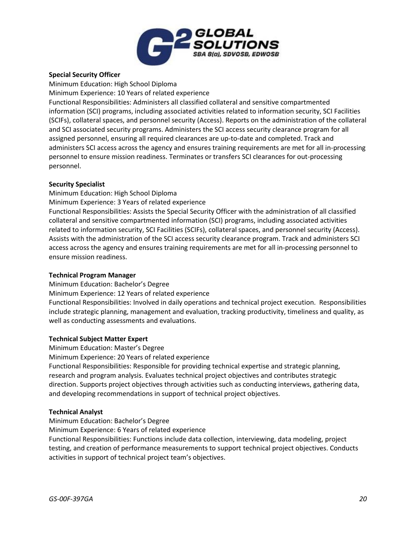

# **Special Security Officer**

Minimum Education: High School Diploma

Minimum Experience: 10 Years of related experience

Functional Responsibilities: Administers all classified collateral and sensitive compartmented information (SCI) programs, including associated activities related to information security, SCI Facilities (SCIFs), collateral spaces, and personnel security (Access). Reports on the administration of the collateral and SCI associated security programs. Administers the SCI access security clearance program for all assigned personnel, ensuring all required clearances are up-to-date and completed. Track and administers SCI access across the agency and ensures training requirements are met for all in-processing personnel to ensure mission readiness. Terminates or transfers SCI clearances for out-processing personnel.

# **Security Specialist**

Minimum Education: High School Diploma

Minimum Experience: 3 Years of related experience

Functional Responsibilities: Assists the Special Security Officer with the administration of all classified collateral and sensitive compartmented information (SCI) programs, including associated activities related to information security, SCI Facilities (SCIFs), collateral spaces, and personnel security (Access). Assists with the administration of the SCI access security clearance program. Track and administers SCI access across the agency and ensures training requirements are met for all in-processing personnel to ensure mission readiness.

# **Technical Program Manager**

Minimum Education: Bachelor's Degree

Minimum Experience: 12 Years of related experience

Functional Responsibilities: Involved in daily operations and technical project execution. Responsibilities include strategic planning, management and evaluation, tracking productivity, timeliness and quality, as well as conducting assessments and evaluations.

# **Technical Subject Matter Expert**

Minimum Education: Master's Degree

Minimum Experience: 20 Years of related experience

Functional Responsibilities: Responsible for providing technical expertise and strategic planning, research and program analysis. Evaluates technical project objectives and contributes strategic direction. Supports project objectives through activities such as conducting interviews, gathering data, and developing recommendations in support of technical project objectives.

# **Technical Analyst**

Minimum Education: Bachelor's Degree

Minimum Experience: 6 Years of related experience

Functional Responsibilities: Functions include data collection, interviewing, data modeling, project testing, and creation of performance measurements to support technical project objectives. Conducts activities in support of technical project team's objectives.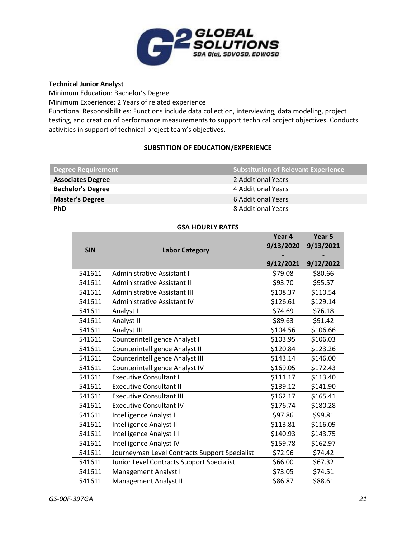

## **Technical Junior Analyst**

Minimum Education: Bachelor's Degree

Minimum Experience: 2 Years of related experience

Functional Responsibilities: Functions include data collection, interviewing, data modeling, project testing, and creation of performance measurements to support technical project objectives. Conducts activities in support of technical project team's objectives.

# **SUBSTITION OF EDUCATION/EXPERIENCE**

| <b>Degree Requirement</b> | <b>Substitution of Relevant Experience</b> |
|---------------------------|--------------------------------------------|
| <b>Associates Degree</b>  | 2 Additional Years                         |
| <b>Bachelor's Degree</b>  | 4 Additional Years                         |
| <b>Master's Degree</b>    | 6 Additional Years                         |
| <b>PhD</b>                | 8 Additional Years                         |

# **GSA HOURLY RATES**

|        | <b>SIN</b><br><b>Labor Category</b>           |           | Year 5<br>9/13/2021 |
|--------|-----------------------------------------------|-----------|---------------------|
|        |                                               |           |                     |
|        |                                               | 9/12/2021 | 9/12/2022           |
| 541611 | Administrative Assistant I                    | \$79.08   | \$80.66             |
| 541611 | Administrative Assistant II                   | \$93.70   | \$95.57             |
| 541611 | Administrative Assistant III                  | \$108.37  | \$110.54            |
| 541611 | Administrative Assistant IV                   | \$126.61  | \$129.14            |
| 541611 | Analyst I                                     | \$74.69   | \$76.18             |
| 541611 | Analyst II                                    | \$89.63   | \$91.42             |
| 541611 | Analyst III                                   | \$104.56  | \$106.66            |
| 541611 | Counterintelligence Analyst I                 | \$103.95  | \$106.03            |
| 541611 | Counterintelligence Analyst II                | \$120.84  | \$123.26            |
| 541611 | Counterintelligence Analyst III               | \$143.14  | \$146.00            |
| 541611 | Counterintelligence Analyst IV                | \$169.05  | \$172.43            |
| 541611 | <b>Executive Consultant I</b>                 | \$111.17  | \$113.40            |
| 541611 | <b>Executive Consultant II</b>                | \$139.12  | \$141.90            |
| 541611 | <b>Executive Consultant III</b>               | \$162.17  | \$165.41            |
| 541611 | <b>Executive Consultant IV</b>                | \$176.74  | \$180.28            |
| 541611 | Intelligence Analyst I                        | \$97.86   | \$99.81             |
| 541611 | Intelligence Analyst II                       | \$113.81  | \$116.09            |
| 541611 | Intelligence Analyst III                      | \$140.93  | \$143.75            |
| 541611 | Intelligence Analyst IV                       | \$159.78  | \$162.97            |
| 541611 | Journeyman Level Contracts Support Specialist | \$72.96   | \$74.42             |
| 541611 | Junior Level Contracts Support Specialist     | \$66.00   | \$67.32             |
| 541611 | Management Analyst I                          | \$73.05   | \$74.51             |
| 541611 | Management Analyst II                         | \$86.87   | \$88.61             |